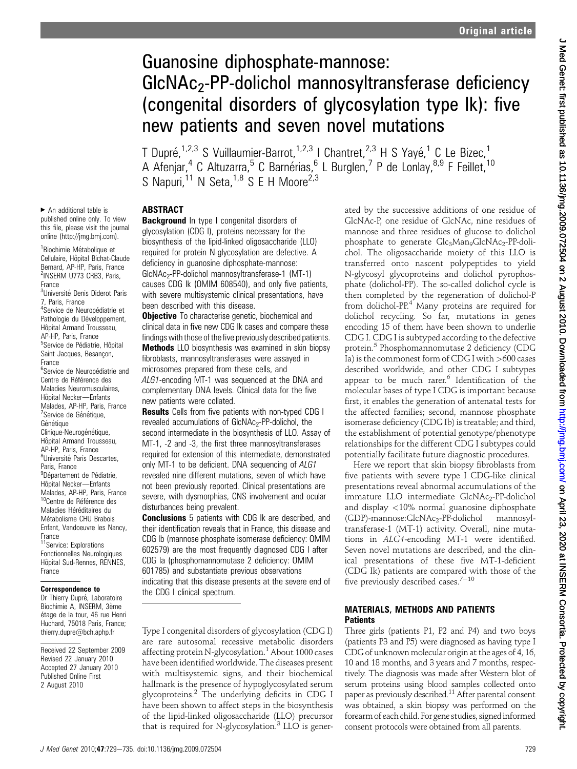# Guanosine diphosphate-mannose: GlcNAc<sub>2</sub>-PP-dolichol mannosyltransferase deficiency (congenital disorders of glycosylation type Ik): five new patients and seven novel mutations

T Dupré,<sup>1,2,3</sup> S Vuillaumier-Barrot,<sup>1,2,3</sup> I Chantret,<sup>2,3</sup> H S Yayé,<sup>1</sup> C Le Bizec,<sup>1</sup> A Afenjar,<sup>4</sup> C Altuzarra,<sup>5</sup> C Barnérias,<sup>6</sup> L Burglen,<sup>7</sup> P de Lonlay,<sup>8,9</sup> F Feillet,<sup>10</sup> S Napuri,  $^{11}$  N Seta,  $^{1,8}$  S E H Moore<sup>2,3</sup>

# **ABSTRACT**

**Background** In type I congenital disorders of glycosylation (CDG I), proteins necessary for the biosynthesis of the lipid-linked oligosaccharide (LLO) required for protein N-glycosylation are defective. A deficiency in guanosine diphosphate-mannose: GlcNAc<sub>2</sub>-PP-dolichol mannosyltransferase-1 (MT-1) causes CDG Ik (OMIM 608540), and only five patients, with severe multisystemic clinical presentations, have been described with this disease.

**Objective** To characterise genetic, biochemical and clinical data in five new CDG Ik cases and compare these findings with those of the five previously described patients. **Methods** LLO biosynthesis was examined in skin biopsy fibroblasts, mannosyltransferases were assayed in microsomes prepared from these cells, and ALG1-encoding MT-1 was sequenced at the DNA and complementary DNA levels. Clinical data for the five

new patients were collated. **Results** Cells from five patients with non-typed CDG I revealed accumulations of  $GlcNAC<sub>2</sub>-PP-dolichol$ , the second intermediate in the biosynthesis of LLO. Assay of MT-1, -2 and -3, the first three mannosyltransferases required for extension of this intermediate, demonstrated only MT-1 to be deficient. DNA sequencing of ALG1 revealed nine different mutations, seven of which have not been previously reported. Clinical presentations are severe, with dysmorphias, CNS involvement and ocular disturbances being prevalent.

**Conclusions** 5 patients with CDG Ik are described, and their identification reveals that in France, this disease and CDG Ib (mannose phosphate isomerase deficiency: OMIM 602579) are the most frequently diagnosed CDG I after CDG Ia (phosphomannomutase 2 deficiency: OMIM 601785) and substantiate previous observations indicating that this disease presents at the severe end of the CDG I clinical spectrum.

Type I congenital disorders of glycosylation (CDG I) are rare autosomal recessive metabolic disorders affecting protein N-glycosylation.<sup>1</sup> About 1000 cases have been identified worldwide. The diseases present with multisystemic signs, and their biochemical hallmark is the presence of hypoglycosylated serum glycoproteins. $<sup>2</sup>$  The underlying deficits in CDG I</sup> have been shown to affect steps in the biosynthesis of the lipid-linked oligosaccharide (LLO) precursor that is required for N-glycosylation. $3$  LLO is generated by the successive additions of one residue of GlcNAc-P, one residue of GlcNAc, nine residues of mannose and three residues of glucose to dolichol phosphate to generate Glc<sub>3</sub>Man<sub>9</sub>GlcNAc<sub>2</sub>-PP-dolichol. The oligosaccharide moiety of this LLO is transferred onto nascent polypeptides to yield N-glycosyl glycoproteins and dolichol pyrophosphate (dolichol-PP). The so-called dolichol cycle is then completed by the regeneration of dolichol-P from dolichol- $PP<sup>4</sup>$  Many proteins are required for dolichol recycling. So far, mutations in genes encoding 15 of them have been shown to underlie CDG I. CDG I is subtyped according to the defective protein.<sup>5</sup> Phosphomannomutase 2 deficiency (CDG Ia) is the commonest form of CDG I with  $>600$  cases described worldwide, and other CDG I subtypes appear to be much rarer.<sup>6</sup> Identification of the molecular bases of type I CDG is important because first, it enables the generation of antenatal tests for the affected families; second, mannose phosphate isomerase deficiency (CDG Ib) is treatable; and third, the establishment of potential genotype/phenotype relationships for the different CDG I subtypes could potentially facilitate future diagnostic procedures.

Here we report that skin biopsy fibroblasts from five patients with severe type I CDG-like clinical presentations reveal abnormal accumulations of the immature LLO intermediate GlcNAc<sub>2</sub>-PP-dolichol and display <10% normal guanosine diphosphate (GDP)-mannose:GlcNAc2-PP-dolichol mannosyltransferase-1 (MT-1) activity. Overall, nine mutations in ALG1-encoding MT-1 were identified. Seven novel mutations are described, and the clinical presentations of these five MT-1-deficient (CDG Ik) patients are compared with those of the five previously described cases. $7-10$ 

# MATERIALS, METHODS AND PATIENTS **Patients**

Three girls (patients P1, P2 and P4) and two boys (patients P3 and P5) were diagnosed as having type I CDG of unknown molecular origin at the ages of 4, 16, 10 and 18 months, and 3 years and 7 months, respectively. The diagnosis was made after Western blot of serum proteins using blood samples collected onto paper as previously described.<sup>11</sup> After parental consent was obtained, a skin biopsy was performed on the forearm of each child. For gene studies, signedinformed consent protocols were obtained from all parents.

 $\blacktriangleright$  An additional table is published online only. To view this file, please visit the journal online (http://jmg.bmj.com).

<sup>1</sup> Biochimie Métabolique et Cellulaire, Hôpital Bichat-Claude Bernard, AP-HP, Paris, France <sup>2</sup>INSERM U773 CRB3, Paris, France <sup>3</sup>Université Denis Diderot Paris 7, Paris, France <sup>4</sup>Service de Neuropédiatrie et Pathologie du Développement, Hôpital Armand Trousseau, AP-HP, Paris, France <sup>5</sup>Service de Pédiatrie, Hôpital Saint Jacques, Besancon, France <sup>6</sup>Service de Neuropédiatrie and Centre de Référence des Maladies Neuromusculaires, Hôpital Necker-Enfants Malades, AP-HP, Paris, France <sup>7</sup>Service de Génétique, Génétique Clinique-Neurogénétique, Hôpital Armand Trousseau, AP-HP, Paris, France <sup>8</sup>Université Paris Descartes, Paris, France <sup>9</sup>Département de Pédiatrie, Hôpital Necker-Enfants Malades, AP-HP, Paris, France <sup>10</sup>Centre de Référence des Maladies Héréditaires du Métabolisme CHU Brabois Enfant, Vandoeuvre les Nancy, France 11Service: Explorations

Fonctionnelles Neurologiques Hôpital Sud-Rennes, RENNES, France

# Correspondence to

Dr Thierry Dupré, Laboratoire Biochimie A, INSERM, 3ème étage de la tour, 46 rue Henri Huchard, 75018 Paris, France; thierry.dupre@bch.aphp.fr

Received 22 September 2009 Revised 22 January 2010 Accepted 27 January 2010 Published Online First 2 August 2010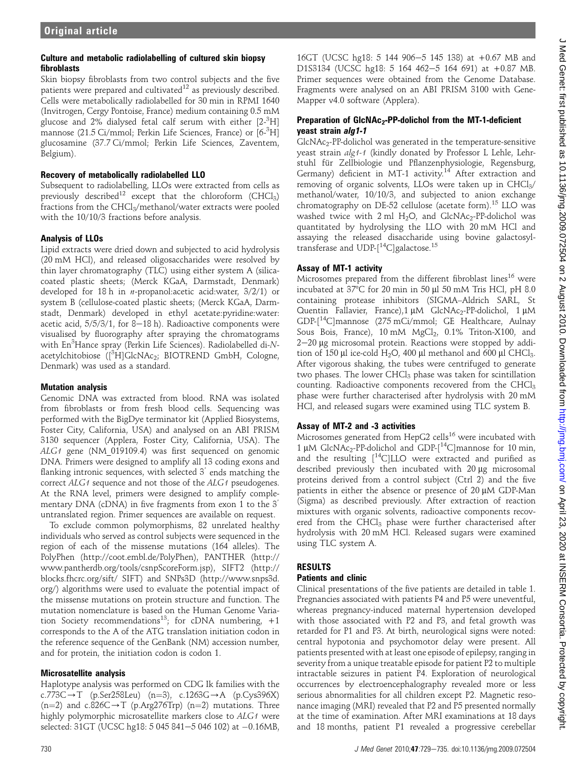## Culture and metabolic radiolabelling of cultured skin biopsy fibroblasts

Skin biopsy fibroblasts from two control subjects and the five patients were prepared and cultivated<sup>12</sup> as previously described. Cells were metabolically radiolabelled for 30 min in RPMI 1640 (Invitrogen, Cergy Pontoise, France) medium containing 0.5 mM glucose and 2% dialysed fetal calf serum with either [2-<sup>3</sup>H] mannose (21.5 Ci/mmol; Perkin Life Sciences, France) or [6- $^3$ H] glucosamine (37.7 Ci/mmol; Perkin Life Sciences, Zaventem, Belgium).

## Recovery of metabolically radiolabelled LLO

Subsequent to radiolabelling, LLOs were extracted from cells as previously described<sup>12</sup> except that the chloroform (CHCl<sub>3</sub>) fractions from the CHCl<sub>3</sub>/methanol/water extracts were pooled with the 10/10/3 fractions before analysis.

## Analysis of LLOs

Lipid extracts were dried down and subjected to acid hydrolysis (20 mM HCl), and released oligosaccharides were resolved by thin layer chromatography (TLC) using either system A (silicacoated plastic sheets; (Merck KGaA, Darmstadt, Denmark) developed for 18 h in n-propanol:acetic acid:water, 3/2/1) or system B (cellulose-coated plastic sheets; (Merck KGaA, Darmstadt, Denmark) developed in ethyl acetate:pyridine:water: acetic acid,  $5/5/3/1$ , for 8-18 h). Radioactive components were visualised by fluorography after spraying the chromatograms with En<sup>3</sup>Hance spray (Perkin Life Sciences). Radiolabelled di-N-<br>acetylchitobiose (<sup>13</sup>HIClcNAcs: BIOTREND CmbH, Cologne acetylchitobiose ([<sup>3</sup>H]GlcNAc<sub>2</sub>; BIOTREND GmbH, Cologne, Denmark) was used as a standard.

## Mutation analysis

Genomic DNA was extracted from blood. RNA was isolated from fibroblasts or from fresh blood cells. Sequencing was performed with the BigDye terminator kit (Applied Biosystems, Foster City, California, USA) and analysed on an ABI PRISM 3130 sequencer (Applera, Foster City, California, USA). The ALG1 gene (NM\_019109.4) was first sequenced on genomic DNA. Primers were designed to amplify all 13 coding exons and flanking intronic sequences, with selected  $3'$  ends matching the correct ALG1 sequence and not those of the ALG1 pseudogenes. At the RNA level, primers were designed to amplify complementary DNA (cDNA) in five fragments from exon 1 to the  $3<sup>7</sup>$ untranslated region. Primer sequences are available on request.

To exclude common polymorphisms, 82 unrelated healthy individuals who served as control subjects were sequenced in the region of each of the missense mutations (164 alleles). The PolyPhen (http://coot.embl.de/PolyPhen), PANTHER (http:// www.pantherdb.org/tools/csnpScoreForm.jsp), SIFT2 (http:// blocks.fhcrc.org/sift/ SIFT) and SNPs3D (http://www.snps3d. org/) algorithms were used to evaluate the potential impact of the missense mutations on protein structure and function. The mutation nomenclature is based on the Human Genome Variation Society recommendations<sup>13</sup>; for cDNA numbering,  $+1$ corresponds to the A of the ATG translation initiation codon in the reference sequence of the GenBank (NM) accession number, and for protein, the initiation codon is codon 1.

## Microsatellite analysis

Haplotype analysis was performed on CDG Ik families with the c.773C $\rightarrow$ T (p.Ser258Leu) (n=3), c.1263G $\rightarrow$ A (p.Cys396X) (n=2) and c.826C $\rightarrow$ T (p.Arg276Trp) (n=2) mutations. Three highly polymorphic microsatellite markers close to ALG1 were selected: 31GT (UCSC hg18: 5 045 841–5 046 102) at -0.16MB,

16GT (UCSC hg18: 5 144 906-5 145 138) at +0.67 MB and D1S3134 (UCSC hg18: 5 164 462-5 164 691) at +0.87 MB. Primer sequences were obtained from the Genome Database. Fragments were analysed on an ABI PRISM 3100 with Gene-Mapper v4.0 software (Applera).

## Preparation of GIcNAc<sub>2</sub>-PP-dolichol from the MT-1-deficient yeast strain alg1-1

GlcNAc2-PP-dolichol was generated in the temperature-sensitive yeast strain alg1-1 (kindly donated by Professor L Lehle, Lehrstuhl für Zellbiologie und Pflanzenphysiologie, Regensburg, Germany) deficient in MT-1 activity.<sup>14</sup> After extraction and removing of organic solvents, LLOs were taken up in  $CHCl<sub>3</sub>/$ methanol/water, 10/10/3, and subjected to anion exchange chromatography on DE-52 cellulose (acetate form).<sup>15</sup> LLO was washed twice with  $2$  ml  $H_2O$ , and  $GlcNAc_2-PP-dolichol$  was quantitated by hydrolysing the LLO with 20 mM HCl and assaying the released disaccharide using bovine galactosyltransferase and UDP-[<sup>14</sup>C]galactose.<sup>15</sup>

## Assay of MT-1 activity

Microsomes prepared from the different fibroblast lines<sup>16</sup> were incubated at  $37^{\circ}$ C for 20 min in 50  $\mu$ l 50 mM Tris HCl, pH 8.0 containing protease inhibitors (SIGMA–Aldrich SARL, St Quentin Fallavier, France), 1 μM GlcNAc<sub>2</sub>-PP-dolichol, 1 μM GDP-[14C]mannose (275 mCi/mmol; GE Healthcare, Aulnay Sous Bois, France),  $10 \text{ mM } MgCl<sub>2</sub>$ ,  $0.1\%$  Triton-X100, and  $2-20$  µg microsomal protein. Reactions were stopped by addition of 150 µl ice-cold H<sub>2</sub>O, 400 µl methanol and 600 µl CHCl<sub>3</sub>. After vigorous shaking, the tubes were centrifuged to generate two phases. The lower CHCl<sub>3</sub> phase was taken for scintillation counting. Radioactive components recovered from the CHCl<sub>3</sub> phase were further characterised after hydrolysis with 20 mM HCl, and released sugars were examined using TLC system B.

## Assay of MT-2 and -3 activities

Microsomes generated from HepG2 cells<sup>16</sup> were incubated with 1 µM GlcNAc<sub>2</sub>-PP-dolichol and GDP- $[$ <sup>14</sup>C]mannose for 10 min, and the resulting  $[14C]$ LLO were extracted and purified as described previously then incubated with 20 µg microsomal proteins derived from a control subject (Ctrl 2) and the five patients in either the absence or presence of  $20 \mu M$  GDP-Man (Sigma) as described previously. After extraction of reaction mixtures with organic solvents, radioactive components recovered from the CHCl<sub>3</sub> phase were further characterised after hydrolysis with 20 mM HCl. Released sugars were examined using TLC system A.

# RESULTS

## Patients and clinic

Clinical presentations of the five patients are detailed in table 1. Pregnancies associated with patients P4 and P5 were uneventful, whereas pregnancy-induced maternal hypertension developed with those associated with P2 and P3, and fetal growth was retarded for P1 and P3. At birth, neurological signs were noted: central hypotonia and psychomotor delay were present. All patients presented with at least one episode of epilepsy, ranging in severity from a unique treatable episode for patient P2 to multiple intractable seizures in patient P4. Exploration of neurological occurrences by electroencephalography revealed more or less serious abnormalities for all children except P2. Magnetic resonance imaging (MRI) revealed that P2 and P5 presented normally at the time of examination. After MRI examinations at 18 days and 18 months, patient P1 revealed a progressive cerebellar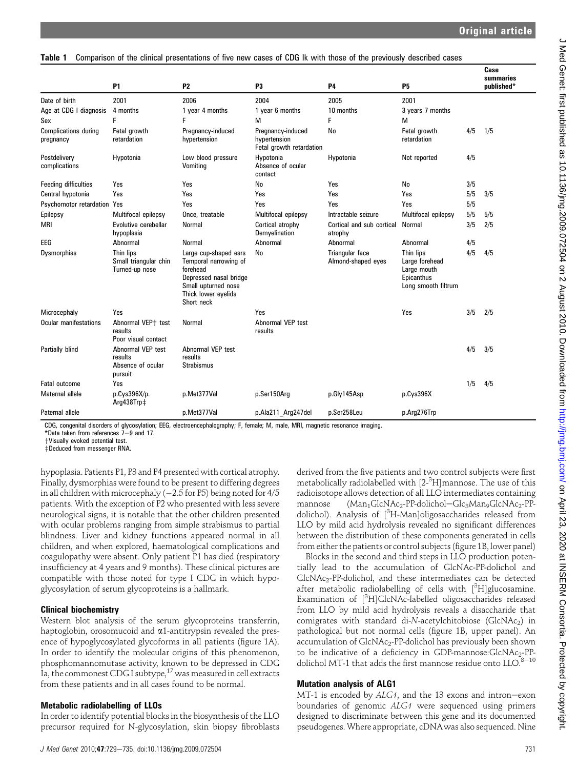#### Table 1 Comparison of the clinical presentations of five new cases of CDG Ik with those of the previously described cases

|                                          | <b>P1</b>                                                    | <b>P2</b>                                                                                                                                        | P <sub>3</sub>                                                | <b>P4</b>                             | <b>P5</b>                                                                       |     | Case<br>summaries<br>published* |
|------------------------------------------|--------------------------------------------------------------|--------------------------------------------------------------------------------------------------------------------------------------------------|---------------------------------------------------------------|---------------------------------------|---------------------------------------------------------------------------------|-----|---------------------------------|
| Date of birth                            | 2001                                                         | 2006                                                                                                                                             | 2004                                                          | 2005                                  | 2001                                                                            |     |                                 |
| Age at CDG I diagnosis                   | 4 months                                                     | 1 year 4 months                                                                                                                                  | 1 year 6 months                                               | 10 months                             | 3 years 7 months                                                                |     |                                 |
| Sex                                      | F                                                            | F                                                                                                                                                | м                                                             | F                                     | М                                                                               |     |                                 |
| <b>Complications during</b><br>pregnancy | Fetal growth<br>retardation                                  | Pregnancy-induced<br>hypertension                                                                                                                | Pregnancy-induced<br>hypertension<br>Fetal growth retardation | No                                    | Fetal growth<br>retardation                                                     | 4/5 | 1/5                             |
| Postdelivery<br>complications            | Hypotonia                                                    | Low blood pressure<br>Vomiting                                                                                                                   | Hypotonia<br>Absence of ocular<br>contact                     | Hypotonia                             | Not reported                                                                    | 4/5 |                                 |
| <b>Feeding difficulties</b>              | Yes                                                          | Yes                                                                                                                                              | No                                                            | Yes                                   | No                                                                              | 3/5 |                                 |
| Central hypotonia                        | Yes                                                          | Yes                                                                                                                                              | Yes                                                           | Yes                                   | Yes                                                                             | 5/5 | 3/5                             |
| Psychomotor retardation Yes              |                                                              | Yes                                                                                                                                              | Yes                                                           | Yes                                   | Yes                                                                             | 5/5 |                                 |
| Epilepsy                                 | Multifocal epilepsy                                          | Once, treatable                                                                                                                                  | Multifocal epilepsy                                           | Intractable seizure                   | Multifocal epilepsy                                                             | 5/5 | 5/5                             |
| <b>MRI</b>                               | Evolutive cerebellar<br>hypoplasia                           | Normal                                                                                                                                           | Cortical atrophy<br>Demyelination                             | Cortical and sub cortical<br>atrophy  | Normal                                                                          | 3/5 | 2/5                             |
| EEG                                      | Abnormal                                                     | Normal                                                                                                                                           | Abnormal                                                      | Abnormal                              | Abnormal                                                                        | 4/5 |                                 |
| Dysmorphias                              | Thin lips<br>Small triangular chin<br>Turned-up nose         | Large cup-shaped ears<br>Temporal narrowing of<br>forehead<br>Depressed nasal bridge<br>Small upturned nose<br>Thick lower eyelids<br>Short neck | No                                                            | Triangular face<br>Almond-shaped eyes | Thin lips<br>Large forehead<br>Large mouth<br>Epicanthus<br>Long smooth filtrum | 4/5 | 4/5                             |
| Microcephaly                             | Yes                                                          |                                                                                                                                                  | Yes                                                           |                                       | Yes                                                                             | 3/5 | 2/5                             |
| <b>Ocular manifestations</b>             | Abnormal VEP+ test<br>results<br>Poor visual contact         | Normal                                                                                                                                           | Abnormal VEP test<br>results                                  |                                       |                                                                                 |     |                                 |
| Partially blind                          | Abnormal VEP test<br>results<br>Absence of ocular<br>pursuit | Abnormal VEP test<br>results<br><b>Strabismus</b>                                                                                                |                                                               |                                       |                                                                                 | 4/5 | 3/5                             |
| Fatal outcome                            | Yes                                                          |                                                                                                                                                  |                                                               |                                       |                                                                                 | 1/5 | 4/5                             |
| Maternal allele                          | p.Cys396X/p.<br>Arg438Trp‡                                   | p.Met377Val                                                                                                                                      | p.Ser150Arg                                                   | p.Gly145Asp                           | p.Cys396X                                                                       |     |                                 |
| Paternal allele                          |                                                              | p.Met377Val                                                                                                                                      | p.Ala211 Arg247del                                            | p.Ser258Leu                           | p.Arg276Trp                                                                     |     |                                 |

CDG, congenital disorders of glycosylation; EEG, electroencephalography; F, female; M, male, MRI, magnetic resonance imaging.

\*Data taken from references  $7-9$  and 17.

+Visually evoked potential test.

zDeduced from messenger RNA.

hypoplasia. Patients P1, P3 and P4 presented with cortical atrophy. Finally, dysmorphias were found to be present to differing degrees in all children with microcephaly ( $-2.5$  for P5) being noted for 4/5  $\,$ patients. With the exception of P2 who presented with less severe neurological signs, it is notable that the other children presented with ocular problems ranging from simple strabismus to partial blindness. Liver and kidney functions appeared normal in all children, and when explored, haematological complications and coagulopathy were absent. Only patient P1 has died (respiratory insufficiency at 4 years and 9 months). These clinical pictures are compatible with those noted for type I CDG in which hypoglycosylation of serum glycoproteins is a hallmark.

## Clinical biochemistry

Western blot analysis of the serum glycoproteins transferrin, haptoglobin, orosomucoid and  $\alpha$ 1-antitrypsin revealed the presence of hypoglycosylated glycoforms in all patients (figure 1A). In order to identify the molecular origins of this phenomenon, phosphomannomutase activity, known to be depressed in CDG Ia, the commonest CDG I subtype,  $17$  was measured in cell extracts from these patients and in all cases found to be normal.

## Metabolic radiolabelling of LLOs

In order to identify potential blocks in the biosynthesis of the LLO precursor required for N-glycosylation, skin biopsy fibroblasts derived from the five patients and two control subjects were first metabolically radiolabelled with [2-<sup>3</sup>H]mannose. The use of this radioisotope allows detection of all LLO intermediates containing mannose  $(Man_1GlcNAc_2-PP\text{-}dolichol-Glc_3Man_9GlcNAc_2-PP\text{-}dclnC_2$ dolichol). Analysis of [<sup>3</sup>H-Man]oligosaccharides released from LLO by mild acid hydrolysis revealed no significant differences between the distribution of these components generated in cells from either the patients or control subjects (figure 1B, lower panel)

Blocks in the second and third steps in LLO production potentially lead to the accumulation of GlcNAc-PP-dolichol and GlcNAc<sub>2</sub>-PP-dolichol, and these intermediates can be detected after metabolic radiolabelling of cells with [3H]glucosamine. Examination of [<sup>3</sup>H]GlcNAc-labelled oligosaccharides released from LLO by mild acid hydrolysis reveals a disaccharide that comigrates with standard di-N-acetylchitobiose (GlcNAc<sub>2</sub>) in pathological but not normal cells (figure 1B, upper panel). An accumulation of GlcNAc<sub>2</sub>-PP-dolichol has previously been shown to be indicative of a deficiency in GDP-mannose:GlcNAc<sub>2</sub>-PPdolichol MT-1 that adds the first mannose residue onto  $LLO$ .<sup>8-10</sup>

## Mutation analysis of ALG1

MT-1 is encoded by  $ALG1$ , and the 13 exons and intron-exon boundaries of genomic ALG1 were sequenced using primers designed to discriminate between this gene and its documented pseudogenes. Where appropriate, cDNAwas also sequenced. Nine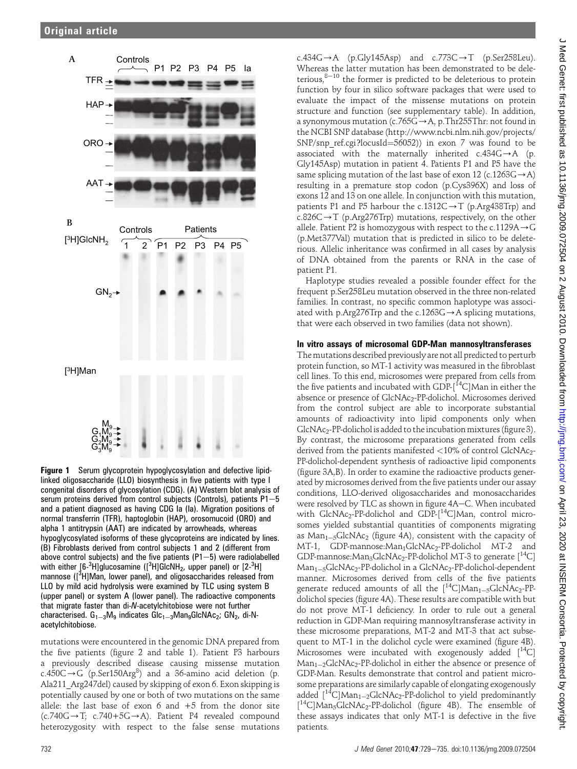

**Figure 1** Serum glycoprotein hypoglycosylation and defective lipidlinked oligosaccharide (LLO) biosynthesis in five patients with type I congenital disorders of glycosylation (CDG). (A) Western blot analysis of serum proteins derived from control subjects (Controls), patients  $P1-5$ and a patient diagnosed as having CDG Ia (Ia). Migration positions of normal transferrin (TFR), haptoglobin (HAP), orosomucoid (ORO) and alpha 1 antitrypsin (AAT) are indicated by arrowheads, whereas hypoglycosylated isoforms of these glycoproteins are indicated by lines. (B) Fibroblasts derived from control subjects 1 and 2 (different from above control subjects) and the five patients  $(P1-5)$  were radiolabelled with either [6-<sup>3</sup>H]glucosamine ([<sup>3</sup>H]GlcNH<sub>2</sub>, upper panel) or [2-<sup>3</sup>H] mannose ([<sup>3</sup>H]Man, lower panel), and oligosaccharides released from LLO by mild acid hydrolysis were examined by TLC using system B (upper panel) or system A (lower panel). The radioactive components that migrate faster than di-N-acetylchitobiose were not further characterised.  $G_{1-3}M_9$  indicates  $Glc_{1-3}M_9GlcNAc_2$ ;  $GN_2$ , di-Nacetylchitobiose.

mutations were encountered in the genomic DNA prepared from the five patients (figure 2 and table 1). Patient P3 harbours a previously described disease causing missense mutation c.450C $\rightarrow$ G (p.Ser150Arg $^{8}$ ) and a 36-amino acid deletion (p. Ala211 Arg247del) caused by skipping of exon 6. Exon skipping is potentially caused by one or both of two mutations on the same allele: the last base of exon  $6$  and  $+5$  from the donor site  $(c.740G \rightarrow T; c.740+5G \rightarrow A)$ . Patient P4 revealed compound heterozygosity with respect to the false sense mutations

 $c.434G \rightarrow A$  (p.Gly145Asp) and  $c.773C \rightarrow T$  (p.Ser258Leu). Whereas the latter mutation has been demonstrated to be deleterious, $8-10$  the former is predicted to be deleterious to protein function by four in silico software packages that were used to evaluate the impact of the missense mutations on protein structure and function (see supplementary table). In addition, a synonymous mutation (c.765G $\rightarrow$ A, p.Thr255Thr: not found in the NCBI SNP database (http://www.ncbi.nlm.nih.gov/projects/ SNP/snp ref.cgi?locusId= $56052$ )) in exon 7 was found to be associated with the maternally inherited  $c.434G\rightarrow A$  (p. Gly145Asp) mutation in patient 4. Patients P1 and P5 have the same splicing mutation of the last base of exon 12 (c.1263G $\rightarrow$ A) resulting in a premature stop codon (p.Cys396X) and loss of exons 12 and 13 on one allele. In conjunction with this mutation, patients P1 and P5 harbour the c.1312C $\rightarrow$ T (p.Arg438Trp) and c.826C $\rightarrow$ T (p.Arg276Trp) mutations, respectively, on the other allele. Patient P2 is homozygous with respect to the c.1129A $\rightarrow$ G (p.Met377Val) mutation that is predicted in silico to be deleterious. Allelic inheritance was confirmed in all cases by analysis of DNA obtained from the parents or RNA in the case of patient P1.

Haplotype studies revealed a possible founder effect for the frequent p.Ser258Leu mutation observed in the three non-related families. In contrast, no specific common haplotype was associated with p.Arg276Trp and the c.1263G $\rightarrow$ A splicing mutations, that were each observed in two families (data not shown).

## In vitro assays of microsomal GDP-Man mannosyltransferases

The mutations described previously are not all predicted to perturb protein function, so MT-1 activity was measured in the fibroblast cell lines. To this end, microsomes were prepared from cells from the five patients and incubated with GDP- $[$ <sup>14</sup>C]Man in either the absence or presence of GlcNAc2-PP-dolichol. Microsomes derived from the control subject are able to incorporate substantial amounts of radioactivity into lipid components only when GlcNAc<sub>2</sub>-PP-dolichol is added to the incubation mixtures (figure 3). By contrast, the microsome preparations generated from cells derived from the patients manifested  $<$  10% of control GlcNAc<sub>2</sub>-PP-dolichol-dependent synthesis of radioactive lipid components (figure 3A,B). In order to examine the radioactive products generated by microsomes derived from the five patients under our assay conditions, LLO-derived oligosaccharides and monosaccharides were resolved by TLC as shown in figure 4A–C. When incubated with  $GlcNAc_2$ -PP-dolichol and  $GDP-[$ <sup>14</sup>C]Man, control microsomes yielded substantial quantities of components migrating as  $Man_{1-5}GlcNAc_2$  (figure 4A), consistent with the capacity of MT-1, GDP-mannose:Man<sub>1</sub>GlcNAc<sub>2</sub>-PP-dolichol MT-2 and GDP-mannose: Man<sub>3</sub>GlcNAc<sub>2</sub>-PP-dolichol MT-3 to generate  $[$ <sup>14</sup>C] Man<sub>1-5</sub>GlcNAc<sub>2</sub>-PP-dolichol in a GlcNAc<sub>2</sub>-PP-dolichol-dependent manner. Microsomes derived from cells of the five patients generate reduced amounts of all the  $[{}^{14}C]Man_{1-5}GlcNAc_{2}-PP$ dolichol species (figure 4A). These results are compatible with but do not prove MT-1 deficiency. In order to rule out a general reduction in GDP-Man requiring mannosyltransferase activity in these microsome preparations, MT-2 and MT-3 that act subsequent to MT-1 in the dolichol cycle were examined (figure 4B). Microsomes were incubated with exogenously added  $[$ <sup>14</sup>C]  $Man_{1-2}GlcNAc_{2}$ -PP-dolichol in either the absence or presence of GDP-Man. Results demonstrate that control and patient microsome preparations are similarly capable of elongating exogenously added  $[$ <sup>14</sup>C]Man<sub>1-2</sub>GlcNAc<sub>2</sub>-PP-dolichol to yield predominantly [<sup>14</sup>C]Man<sub>5</sub>GlcNAc<sub>2</sub>-PP-dolichol (figure 4B). The ensemble of these assays indicates that only MT-1 is defective in the five patients.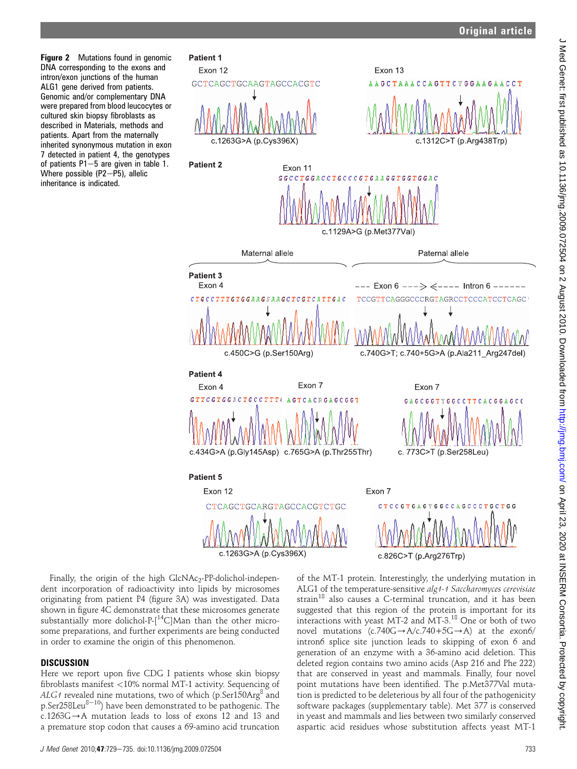**Figure 2** Mutations found in genomic DNA corresponding to the exons and intron/exon junctions of the human ALG1 gene derived from patients. Genomic and/or complementary DNA were prepared from blood leucocytes or cultured skin biopsy fibroblasts as described in Materials, methods and patients. Apart from the maternally inherited synonymous mutation in exon 7 detected in patient 4, the genotypes of patients  $P1-5$  are given in table 1. Where possible  $(P2-P5)$ , allelic inheritance is indicated.

Patient 1



c.1263G>A (p.Cys396X)



Finally, the origin of the high  $GlcNAc_2-PP-dolichol-independent-PbclnC$ dent incorporation of radioactivity into lipids by microsomes originating from patient P4 (figure 3A) was investigated. Data shown in figure 4C demonstrate that these microsomes generate substantially more dolichol-P-[<sup>14</sup>C]Man than the other microsome preparations, and further experiments are being conducted in order to examine the origin of this phenomenon.

## **DISCUSSION**

Here we report upon five CDG I patients whose skin biopsy fibroblasts manifest <10% normal MT-1 activity. Sequencing of  $ALG1$  revealed nine mutations, two of which (p.Ser150Arg<sup>8</sup> and p.Ser258Leu<sup>8-10</sup>) have been demonstrated to be pathogenic. The  $c.1263G \rightarrow A$  mutation leads to loss of exons 12 and 13 and a premature stop codon that causes a 69-amino acid truncation of the MT-1 protein. Interestingly, the underlying mutation in ALG1 of the temperature-sensitive *alg1-1 Saccharomyces cerevisiae*<br>strain<sup>18</sup> also causes a C-terminal truncation, and it has been suggested that this region of the protein is important for its interactions with yeast MT-2 and MT-3.<sup>18</sup> One or both of two novel mutations  $(c.740G \rightarrow A/c.740+5G \rightarrow A)$  at the exon6/ intron6 splice site junction leads to skipping of exon 6 and generation of an enzyme with a 36-amino acid deletion. This deleted region contains two amino acids (Asp 216 and Phe 222) that are conserved in yeast and mammals. Finally, four novel point mutations have been identified. The p.Met377Val mutation is predicted to be deleterious by all four of the pathogenicity software packages (supplementary table). Met 377 is conserved in yeast and mammals and lies between two similarly conserved aspartic acid residues whose substitution affects yeast MT-1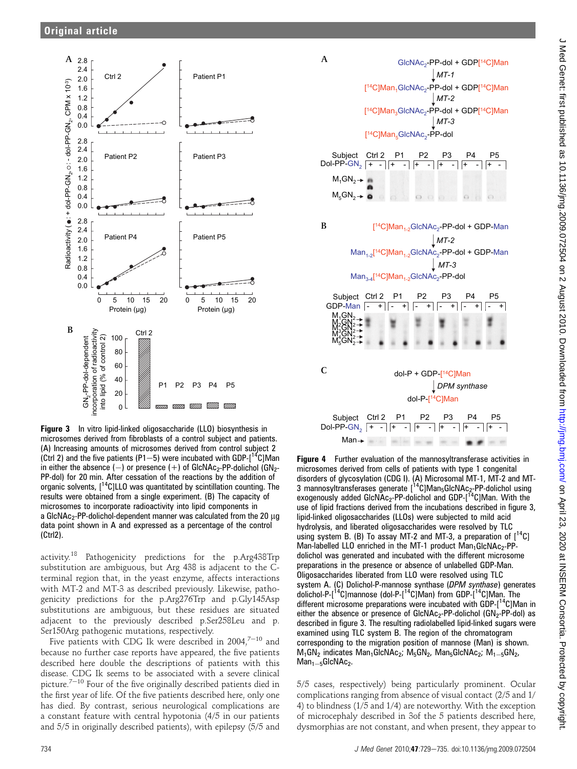

Figure 3 In vitro lipid-linked oligosaccharide (LLO) biosynthesis in microsomes derived from fibroblasts of a control subject and patients. (A) Increasing amounts of microsomes derived from control subject 2 (Ctrl 2) and the five patients (P1-5) were incubated with GDP- $[14C]$ Man in either the absence  $(-)$  or presence  $(+)$  of GlcNAc<sub>2</sub>-PP-dolichol (GN<sub>2</sub>-PP-dol) for 20 min. After cessation of the reactions by the addition of organic solvents,  $[14C]$ LLO was quantitated by scintillation counting. The results were obtained from a single experiment. (B) The capacity of microsomes to incorporate radioactivity into lipid components in a GIcNAc<sub>2</sub>-PP-dolichol-dependent manner was calculated from the 20  $\mu$ g data point shown in A and expressed as a percentage of the control (Ctrl2).

activity.<sup>18</sup> Pathogenicity predictions for the p.Arg438Trp substitution are ambiguous, but Arg 438 is adjacent to the Cterminal region that, in the yeast enzyme, affects interactions with MT-2 and MT-3 as described previously. Likewise, pathogenicity predictions for the p.Arg276Trp and p.Gly145Asp substitutions are ambiguous, but these residues are situated adjacent to the previously described p.Ser258Leu and p. Ser150Arg pathogenic mutations, respectively.

Five patients with CDG Ik were described in 2004, $7-10$  and because no further case reports have appeared, the five patients described here double the descriptions of patients with this disease. CDG Ik seems to be associated with a severe clinical picture.<sup> $7-10$ </sup> Four of the five originally described patients died in the first year of life. Of the five patients described here, only one has died. By contrast, serious neurological complications are a constant feature with central hypotonia (4/5 in our patients and 5/5 in originally described patients), with epilepsy (5/5 and



Figure 4 Further evaluation of the mannosyltransferase activities in microsomes derived from cells of patients with type 1 congenital disorders of glycosylation (CDG I). (A) Microsomal MT-1, MT-2 and MT-<br>3 mannosyltransferases generate [<sup>14</sup>C]Man<sub>5</sub>GlcNAc<sub>2</sub>-PP-dolichol using exogenously added GIcNAc<sub>2</sub>-PP-dolichol and GDP-[<sup>14</sup>C]Man. With the use of lipid fractions derived from the incubations described in figure 3, lipid-linked oligosaccharides (LLOs) were subjected to mild acid hydrolysis, and liberated oligosaccharides were resolved by TLC using system B. (B) To assay MT-2 and MT-3, a preparation of  $[^{14}C]$ Man-labelled LLO enriched in the MT-1 product  $Man_1GlcNAC_2-PP$ dolichol was generated and incubated with the different microsome preparations in the presence or absence of unlabelled GDP-Man. Oligosaccharides liberated from LLO were resolved using TLC system A. (C) Dolichol-P-mannose synthase (DPM synthase) generates dolichol-P-[14C]mannose (dol-P-[14C]Man) from GDP-[14C]Man. The different microsome preparations were incubated with GDP-[14C]Man in either the absence or presence of  $GlcNAC_2$ -PP-dolichol  $(GN_2$ -PP-dol) as described in figure 3. The resulting radiolabelled lipid-linked sugars were examined using TLC system B. The region of the chromatogram corresponding to the migration position of mannose (Man) is shown.  $M_1GN_2$  indicates  $Man_1GlcNAc_2$ ;  $M_5GN_2$ ,  $Man_5GlcNAc_2$ ;  $M_1_{-5}GN_2$ ,  $Man_{1-5}GlcNAc_2.$ 

5/5 cases, respectively) being particularly prominent. Ocular complications ranging from absence of visual contact (2/5 and 1/ 4) to blindness (1/5 and 1/4) are noteworthy. With the exception of microcephaly described in 3of the 5 patients described here, dysmorphias are not constant, and when present, they appear to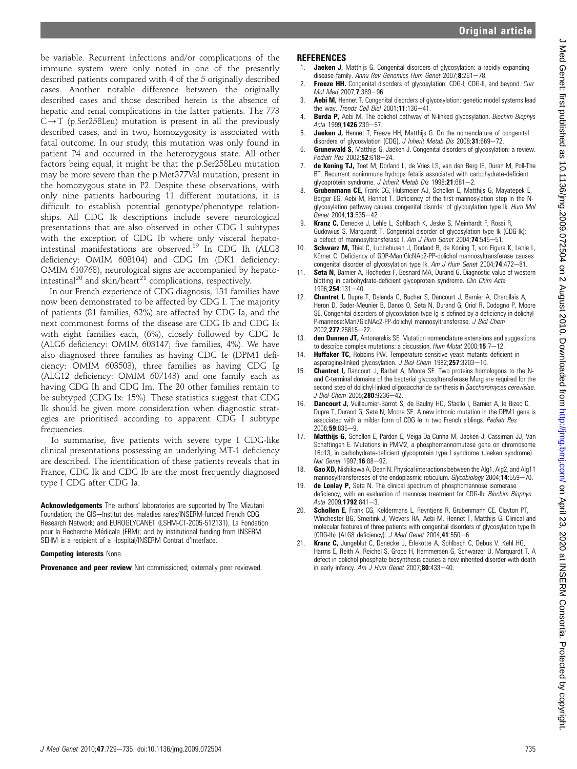be variable. Recurrent infections and/or complications of the immune system were only noted in one of the presently described patients compared with 4 of the 5 originally described cases. Another notable difference between the originally described cases and those described herein is the absence of hepatic and renal complications in the latter patients. The 773  $C \rightarrow T$  (p.Ser258Leu) mutation is present in all the previously described cases, and in two, homozygosity is associated with fatal outcome. In our study, this mutation was only found in patient P4 and occurred in the heterozygous state. All other factors being equal, it might be that the p.Ser258Leu mutation may be more severe than the p.Met377Val mutation, present in the homozygous state in P2. Despite these observations, with only nine patients harbouring 11 different mutations, it is difficult to establish potential genotype/phenotype relationships. All CDG Ik descriptions include severe neurological presentations that are also observed in other CDG I subtypes with the exception of CDG Ib where only visceral hepatointestinal manifestations are observed.<sup>19</sup> In CDG Ih (ALG8 deficiency: OMIM 608104) and CDG Im (DK1 deficiency: OMIM 610768), neurological signs are accompanied by hepatointestinal<sup>20</sup> and skin/heart<sup>21</sup> complications, respectively.

In our French experience of CDG diagnosis, 131 families have now been demonstrated to be affected by CDG I. The majority of patients (81 families, 62%) are affected by CDG Ia, and the next commonest forms of the disease are CDG Ib and CDG Ik with eight families each, (6%), closely followed by CDG Ic (ALG6 deficiency: OMIM 603147; five families, 4%). We have also diagnosed three families as having CDG Ie (DPM1 deficiency: OMIM 603503), three families as having CDG Ig (ALG12 deficiency: OMIM 607143) and one family each as having CDG Ih and CDG Im. The 20 other families remain to be subtyped (CDG Ix: 15%). These statistics suggest that CDG Ik should be given more consideration when diagnostic strategies are prioritised according to apparent CDG I subtype frequencies.

To summarise, five patients with severe type I CDG-like clinical presentations possessing an underlying MT-1 deficiency are described. The identification of these patients reveals that in France, CDG Ik and CDG Ib are the most frequently diagnosed type I CDG after CDG Ia.

Acknowledgements The authors' laboratories are supported by The Mizutani Foundation; the GIS-Institut des maladies rares/INSERM-funded French CDG Research Network; and EUROGLYCANET (LSHM-CT-2005-512131), La Fondation pour la Recherche Médicale (FRM); and by institutional funding from INSERM. SEHM is a recipient of a Hospital/INSERM Contrat d'Interface.

#### Competing interests None.

Provenance and peer review Not commissioned; externally peer reviewed.

## REFERENCES

- **Jaeken J,** Matthijs G. Congenital disorders of glycosylation: a rapidly expanding disease family. Annu Rev Genomics Hum Genet 2007; $\frac{8}{2}$ :261-78.
- 2. Freeze HH. Congenital disorders of glycosylation: CDG-I, CDG-II, and beyond. Curr Mol Med  $2007;7:389-96$ .
- Aebi M, Hennet T. Congenital disorders of glycosylation: genetic model systems lead the way. Trends Cell Biol  $2001$ ; 11:136-41.
- **Burda P,** Aebi M. The dolichol pathway of N-linked glycosylation. Biochim Biophys Acta 1999;1426:239-57.
- 5. Jaeken J, Hennet T, Freeze HH, Matthijs G. On the nomenclature of congenital disorders of glycosylation (CDG). J Inherit Metab Dis 2008;31:669-72.
- 6. Grunewald S, Matthijs G, Jaeken J. Congenital disorders of glycosylation: a review. Pediatr Res 2002;52:618-24
- 7. de Koning TJ, Toet M, Dorland L, de Vries LS, van den Berg IE, Duran M, Poll-The BT. Recurrent nonimmune hydrops fetalis associated with carbohydrate-deficient glycoprotein syndrome. J Inherit Metab Dis 1998;21:681-2.
- 8. Grubenmann CE, Frank CG, Hulsmeier AJ, Schollen E, Matthijs G, Mayatepek E, Berger EG, Aebi M, Hennet T. Deficiency of the first mannosylation step in the Nglycosylation pathway causes congenital disorder of glycosylation type Ik. Hum Mol Genet 2004;13:535-42.
- Kranz C, Denecke J, Lehle L, Sohlbach K, Jeske S, Meinhardt F, Rossi R, Gudowius S, Marquardt T. Congenital disorder of glycosylation type Ik (CDG-Ik): a defect of mannosyltransferase I. Am J Hum Genet 2004:74:545-51.
- 10. Schwarz M, Thiel C, Lubbehusen J, Dorland B, de Koning T, von Figura K, Lehle L, Körner C. Deficiency of GDP-Man:GlcNAc2-PP-dolichol mannosyltransferase causes congenital disorder of glycosylation type Ik. Am J Hum Genet 2004; **74**:472-81.
- 11. **Seta N, Barnier A, Hochedez F, Besnard MA, Durand G. Diagnostic value of western** blotting in carbohydrate-deficient glycoprotein syndrome. Clin Chim Acta 1996;254:131-40.
- 12. Chantret I, Dupre T, Delenda C, Bucher S, Dancourt J, Barnier A, Charollais A, Heron D, Bader-Meunier B, Danos O, Seta N, Durand G, Oriol R, Codogno P, Moore SE. Congenital disorders of glycosylation type Ig is defined by a deficiency in dolichyl-P-mannose:Man7GlcNAc2-PP-dolichyl mannosyltransferase. J Biol Chem 2002;277:25815-22.
- 13. den Dunnen JT, Antonarakis SE. Mutation nomenclature extensions and suggestions to describe complex mutations: a discussion. Hum Mutat 2000;15:7-12.
- 14. **Huffaker TC,** Robbins PW. Temperature-sensitive yeast mutants deficient in asparagine-linked glycosylation. J Biol Chem 1982;257:3203-10.
- 15. Chantret I, Dancourt J, Barbat A, Moore SE. Two proteins homologous to the Nand C-terminal domains of the bacterial glycosyltransferase Murg are required for the second step of dolichyl-linked oligosaccharide synthesis in Saccharomyces cerevisiae. J Biol Chem 2005:280:9236-42.
- 16. Dancourt J, Vuillaumier-Barrot S, de Baulny HO, Sfaello I, Barnier A, le Bizec C, Dupre T, Durand G, Seta N, Moore SE. A new intronic mutation in the DPM1 gene is associated with a milder form of CDG Ie in two French siblings. Pediatr Res 2006:59:835-9.
- 17. Matthijs G, Schollen E, Pardon E, Veiga-Da-Cunha M, Jaeken J, Cassiman JJ, Van Schaftingen E. Mutations in PMM2, a phosphomannomutase gene on chromosome 16p13, in carbohydrate-deficient glycoprotein type I syndrome (Jaeken syndrome). Nat Genet 1997;16:88-92.
- 18. Gao XD, Nishikawa A, Dean N. Physical interactions between the Alg1, Alg2, and Alg11 mannosyltransferases of the endoplasmic reticulum. Glycobiology 2004;14:559-70.
- 19. de Lonlay P, Seta N. The clinical spectrum of phosphomannose isomerase deficiency, with an evaluation of mannose treatment for CDG-Ib. Biochim Biophys Acta 2009:1792:841-3.
- Schollen E, Frank CG, Keldermans L, Reyntiens R, Grubenmann CE, Clayton PT, Winchester BG, Smeitink J, Wevers RA, Aebi M, Hennet T, Matthijs G. Clinical and molecular features of three patients with congenital disorders of glycosylation type Ih (CDG-lh) (ALG8 deficiency). J Med Genet 2004;41:550-6.
- 21. Kranz C, Jungeblut C, Denecke J, Erlekotte A, Sohlbach C, Debus V, Kehl HG, Harms E, Reith A, Reichel S, Grobe H, Hammersen G, Schwarzer U, Marquardt T. A defect in dolichol phosphate biosynthesis causes a new inherited disorder with death in early infancy. Am J Hum Genet 2007;80:433-40.